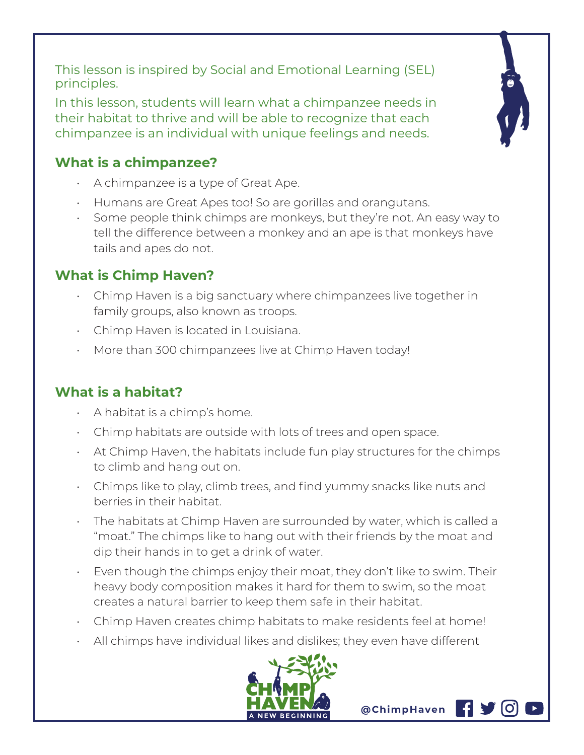This lesson is inspired by Social and Emotional Learning (SEL) principles.

In this lesson, students will learn what a chimpanzee needs in their habitat to thrive and will be able to recognize that each chimpanzee is an individual with unique feelings and needs.

## **What is a chimpanzee?**

- A chimpanzee is a type of Great Ape.
- Humans are Great Apes too! So are gorillas and orangutans.
- Some people think chimps are monkeys, but they're not. An easy way to tell the difference between a monkey and an ape is that monkeys have tails and apes do not.

## **What is Chimp Haven?**

- Chimp Haven is a big sanctuary where chimpanzees live together in family groups, also known as troops.
- Chimp Haven is located in Louisiana.
- More than 300 chimpanzees live at Chimp Haven today!

## **What is a habitat?**

- $\cdot$  A habitat is a chimp's home.
- Chimp habitats are outside with lots of trees and open space.
- At Chimp Haven, the habitats include fun play structures for the chimps to climb and hang out on.
- Chimps like to play, climb trees, and find yummy snacks like nuts and berries in their habitat.
- The habitats at Chimp Haven are surrounded by water, which is called a "moat." The chimps like to hang out with their friends by the moat and dip their hands in to get a drink of water.
- Even though the chimps enjoy their moat, they don't like to swim. Their heavy body composition makes it hard for them to swim, so the moat creates a natural barrier to keep them safe in their habitat.
- Chimp Haven creates chimp habitats to make residents feel at home!
- All chimps have individual likes and dislikes; they even have different



**@ChimpHaven**

HV.